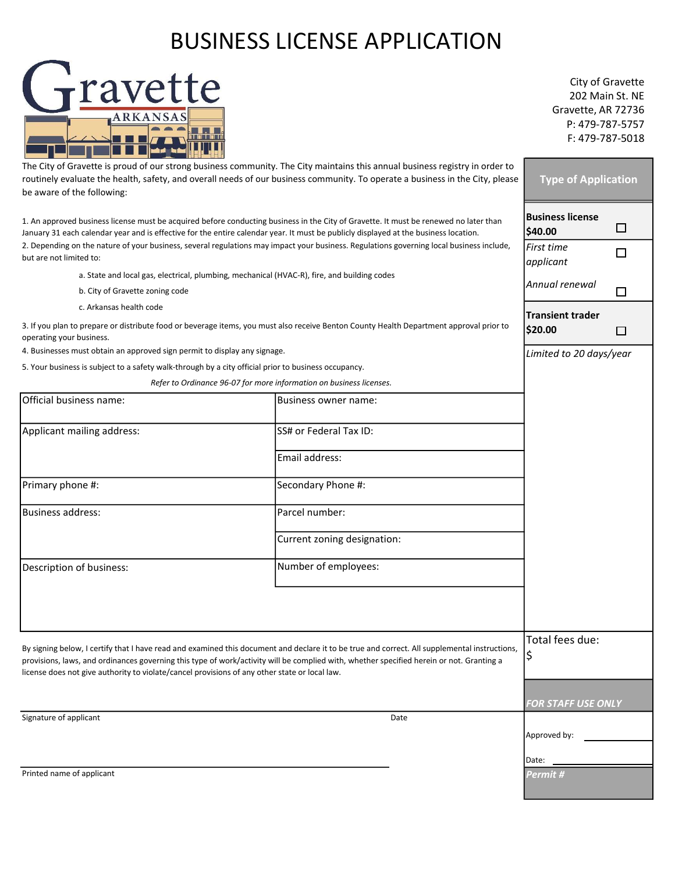## BUSINESS LICENSE APPLICATION



City of Gravette 202 Main St. NE Gravette, AR 72736 P: 479-787-5757 F: 479-787-5018

| The City of Gravette is proud of our strong business community. The City maintains this annual business registry in order to<br>routinely evaluate the health, safety, and overall needs of our business community. To operate a business in the City, please<br>be aware of the following:                                                                                                |                                                                     | <b>Type of Application</b>         |   |
|--------------------------------------------------------------------------------------------------------------------------------------------------------------------------------------------------------------------------------------------------------------------------------------------------------------------------------------------------------------------------------------------|---------------------------------------------------------------------|------------------------------------|---|
| 1. An approved business license must be acquired before conducting business in the City of Gravette. It must be renewed no later than<br>January 31 each calendar year and is effective for the entire calendar year. It must be publicly displayed at the business location.                                                                                                              |                                                                     | <b>Business license</b><br>\$40.00 | □ |
| 2. Depending on the nature of your business, several regulations may impact your business. Regulations governing local business include,<br>but are not limited to:                                                                                                                                                                                                                        |                                                                     | First time<br>applicant            | □ |
| a. State and local gas, electrical, plumbing, mechanical (HVAC-R), fire, and building codes<br>b. City of Gravette zoning code                                                                                                                                                                                                                                                             |                                                                     | Annual renewal                     | □ |
| c. Arkansas health code<br>3. If you plan to prepare or distribute food or beverage items, you must also receive Benton County Health Department approval prior to<br>operating your business.                                                                                                                                                                                             |                                                                     | Transient trader<br>\$20.00        | □ |
| 4. Businesses must obtain an approved sign permit to display any signage.                                                                                                                                                                                                                                                                                                                  |                                                                     | Limited to 20 days/year            |   |
| 5. Your business is subject to a safety walk-through by a city official prior to business occupancy.                                                                                                                                                                                                                                                                                       |                                                                     |                                    |   |
|                                                                                                                                                                                                                                                                                                                                                                                            | Refer to Ordinance 96-07 for more information on business licenses. |                                    |   |
| Official business name:                                                                                                                                                                                                                                                                                                                                                                    | Business owner name:                                                |                                    |   |
| Applicant mailing address:                                                                                                                                                                                                                                                                                                                                                                 | SS# or Federal Tax ID:                                              |                                    |   |
|                                                                                                                                                                                                                                                                                                                                                                                            | Email address:                                                      |                                    |   |
| Primary phone #:                                                                                                                                                                                                                                                                                                                                                                           | Secondary Phone #:                                                  |                                    |   |
| <b>Business address:</b>                                                                                                                                                                                                                                                                                                                                                                   | Parcel number:                                                      |                                    |   |
|                                                                                                                                                                                                                                                                                                                                                                                            | Current zoning designation:                                         |                                    |   |
| Description of business:                                                                                                                                                                                                                                                                                                                                                                   | Number of employees:                                                |                                    |   |
|                                                                                                                                                                                                                                                                                                                                                                                            |                                                                     |                                    |   |
| By signing below, I certify that I have read and examined this document and declare it to be true and correct. All supplemental instructions,<br>provisions, laws, and ordinances governing this type of work/activity will be complied with, whether specified herein or not. Granting a<br>license does not give authority to violate/cancel provisions of any other state or local law. |                                                                     | Total fees due:<br>\$              |   |
|                                                                                                                                                                                                                                                                                                                                                                                            |                                                                     | <b>FOR STAFF USE ONLY</b>          |   |
| Signature of applicant                                                                                                                                                                                                                                                                                                                                                                     | Date                                                                | Approved by:                       |   |
|                                                                                                                                                                                                                                                                                                                                                                                            |                                                                     | Date:                              |   |
| Printed name of applicant                                                                                                                                                                                                                                                                                                                                                                  |                                                                     | Permit #                           |   |